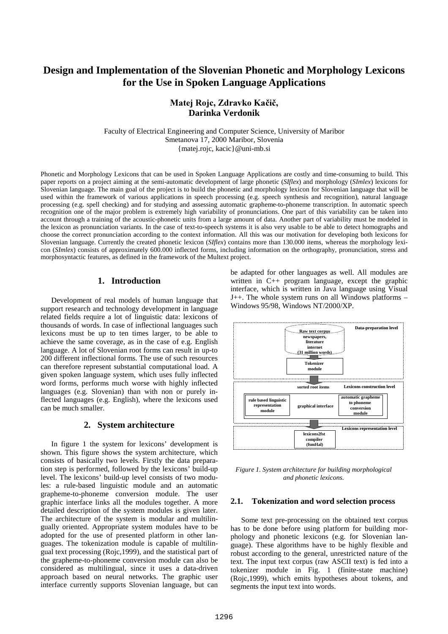# **Design and Implementation of the Slovenian Phonetic and Morphology Lexicons for the Use in Spoken Language Applications**

# Matej Rojc, Zdravko Kačič, **Darinka Verdonik**

Faculty of Electrical Engineering and Computer Science, University of Maribor Smetanova 17, 2000 Maribor, Slovenia {matej.rojc, kacic}@uni-mb.si

Phonetic and Morphology Lexicons that can be used in Spoken Language Applications are costly and time-consuming to build. This paper reports on a project aiming at the semi-automatic development of large phonetic (*SIflex*) and morphology (*SImlex*) lexicons for Slovenian language. The main goal of the project is to build the phonetic and morphology lexicon for Slovenian language that will be used within the framework of various applications in speech processing (e.g. speech synthesis and recognition), natural language processing (e.g. spell checking) and for studying and assessing automatic grapheme-to-phoneme transcription. In automatic speech recognition one of the major problem is extremely high variability of pronunciations. One part of this variability can be taken into account through a training of the acoustic-phonetic units from a large amount of data. Another part of variability must be modeled in the lexicon as pronunciation variants. In the case of text-to-speech systems it is also very usable to be able to detect homographs and choose the correct pronunciation according to the context information. All this was our motivation for developing both lexicons for Slovenian language. Currently the created phonetic lexicon (*SIflex*) contains more than 130.000 items, whereas the morphology lexicon (*SImlex*) consists of approximately 600.000 inflected forms, including information on the orthography, pronunciation, stress and morphosyntactic features, as defined in the framework of the Multext project.

# **1. Introduction**

Development of real models of human language that support research and technology development in language related fields require a lot of linguistic data: lexicons of thousands of words. In case of inflectional languages such lexicons must be up to ten times larger, to be able to achieve the same coverage, as in the case of e.g. English language. A lot of Slovenian root forms can result in up-to 200 different inflectional forms. The use of such resources can therefore represent substantial computational load. A given spoken language system, which uses fully inflected word forms, performs much worse with highly inflected languages (e.g. Slovenian) than with non or purely inflected languages (e.g. English), where the lexicons used can be much smaller.

### **2. System architecture**

In figure 1 the system for lexicons' development is shown. This figure shows the system architecture, which consists of basically two levels. Firstly the data preparation step is performed, followed by the lexicons' build-up level. The lexicons' build-up level consists of two modules: a rule-based linguistic module and an automatic grapheme-to-phoneme conversion module. The user graphic interface links all the modules together. A more detailed description of the system modules is given later. The architecture of the system is modular and multilingually oriented. Appropriate system modules have to be adopted for the use of presented platform in other languages. The tokenization module is capable of multilingual text processing (Rojc,1999), and the statistical part of the grapheme-to-phoneme conversion module can also be considered as multilingual, since it uses a data-driven approach based on neural networks. The graphic user interface currently supports Slovenian language, but can

be adapted for other languages as well. All modules are written in C++ program language, except the graphic interface, which is written in Java language using Visual J++. The whole system runs on all Windows platforms – Windows 95/98, Windows NT/2000/XP.



*Figure 1. System architecture for building morphological and phonetic lexicons.*

## **2.1. Tokenization and word selection process**

Some text pre-processing on the obtained text corpus has to be done before using platform for building morphology and phonetic lexicons (e.g. for Slovenian language). These algorithms have to be highly flexible and robust according to the general, unrestricted nature of the text. The input text corpus (raw ASCII text) is fed into a tokenizer module in Fig. 1 (finite-state machine) (Rojc,1999), which emits hypotheses about tokens, and segments the input text into words.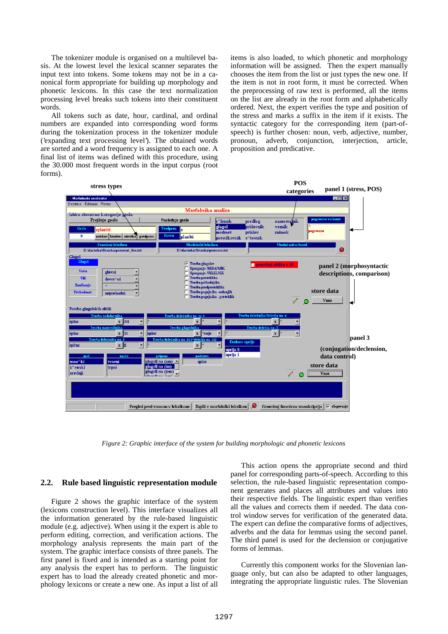The tokenizer module is organised on a multilevel basis. At the lowest level the lexical scanner separates the input text into tokens. Some tokens may not be in a canonical form appropriate for building up morphology and phonetic lexicons. In this case the text normalization processing level breaks such tokens into their constituent words.

All tokens such as date, hour, cardinal, and ordinal numbers are expanded into corresponding word forms during the tokenization process in the tokenizer module ('expanding text processing level'). The obtained words are sorted and a word frequency is assigned to each one. A final list of items was defined with this procedure, using the 30.000 most frequent words in the input corpus (root forms).

items is also loaded, to which phonetic and morphology information will be assigned. Then the expert manually chooses the item from the list or just types the new one. If the item is not in root form, it must be corrected. When the preprocessing of raw text is performed, all the items on the list are already in the root form and alphabetically ordered. Next, the expert verifies the type and position of the stress and marks a suffix in the item if it exists. The syntactic category for the corresponding item (part-ofspeech) is further chosen: noun, verb, adjective, number, pronoun, adverb, conjunction, interjection, article, proposition and predicative.



*Figure 2: Graphic interface of the system for building morphologic and phonetic lexicons*

#### **2.2. Rule based linguistic representation module**

Figure 2 shows the graphic interface of the system (lexicons construction level). This interface visualizes all the information generated by the rule-based linguistic module (e.g. adjective). When using it the expert is able to perform editing, correction, and verification actions. The morphology analysis represents the main part of the system. The graphic interface consists of three panels. The first panel is fixed and is intended as a starting point for any analysis the expert has to perform. The linguistic expert has to load the already created phonetic and morphology lexicons or create a new one. As input a list of all

This action opens the appropriate second and third panel for corresponding parts-of-speech. According to this selection, the rule-based linguistic representation component generates and places all attributes and values into their respective fields. The linguistic expert than verifies all the values and corrects them if needed. The data control window serves for verification of the generated data. The expert can define the comparative forms of adjectives, adverbs and the data for lemmas using the second panel. The third panel is used for the declension or conjugative forms of lemmas.

Currently this component works for the Slovenian language only, but can also be adapted to other languages, integrating the appropriate linguistic rules. The Slovenian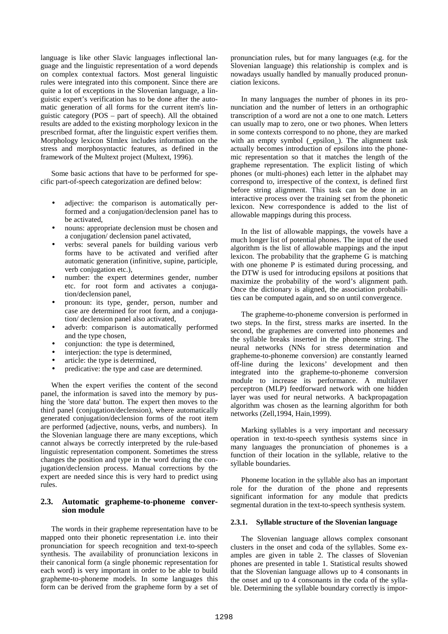language is like other Slavic languages inflectional language and the linguistic representation of a word depends on complex contextual factors. Most general linguistic rules were integrated into this component. Since there are quite a lot of exceptions in the Slovenian language, a linguistic expert's verification has to be done after the automatic generation of all forms for the current item's linguistic category (POS – part of speech). All the obtained results are added to the existing morphology lexicon in the prescribed format, after the linguistic expert verifies them. Morphology lexicon SImlex includes information on the stress and morphosyntactic features, as defined in the framework of the Multext project (Multext, 1996).

Some basic actions that have to be performed for specific part-of-speech categorization are defined below:

- adjective: the comparison is automatically performed and a conjugation/declension panel has to be activated,
- nouns: appropriate declension must be chosen and a conjugation/ declension panel activated,
- verbs: several panels for building various verb forms have to be activated and verified after automatic generation (infinitive, supine, participle, verb conjugation etc.),
- number: the expert determines gender, number etc. for root form and activates a conjugation/declension panel,
- pronoun: its type, gender, person, number and case are determined for root form, and a conjugation/ declension panel also activated,
- adverb: comparison is automatically performed and the type chosen,
- conjunction: the type is determined,
- interjection: the type is determined,
- article: the type is determined,
- predicative: the type and case are determined.

When the expert verifies the content of the second panel, the information is saved into the memory by pushing the 'store data' button. The expert then moves to the third panel (conjugation/declension), where automatically generated conjugation/declension forms of the root item are performed (adjective, nouns, verbs, and numbers). In the Slovenian language there are many exceptions, which cannot always be correctly interpreted by the rule-based linguistic representation component. Sometimes the stress changes the position and type in the word during the conjugation/declension process. Manual corrections by the expert are needed since this is very hard to predict using rules.

# **2.3. Automatic grapheme-to-phoneme conversion module**

The words in their grapheme representation have to be mapped onto their phonetic representation i.e. into their pronunciation for speech recognition and text-to-speech synthesis. The availability of pronunciation lexicons in their canonical form (a single phonemic representation for each word) is very important in order to be able to build grapheme-to-phoneme models. In some languages this form can be derived from the grapheme form by a set of

pronunciation rules, but for many languages (e.g. for the Slovenian language) this relationship is complex and is nowadays usually handled by manually produced pronunciation lexicons.

In many languages the number of phones in its pronunciation and the number of letters in an orthographic transcription of a word are not a one to one match. Letters can usually map to zero, one or two phones. When letters in some contexts correspond to no phone, they are marked with an empty symbol (\_epsilon\_). The alignment task actually becomes introduction of epsilons into the phonemic representation so that it matches the length of the grapheme representation. The explicit listing of which phones (or multi-phones) each letter in the alphabet may correspond to, irrespective of the context, is defined first before string alignment. This task can be done in an interactive process over the training set from the phonetic lexicon. New correspondence is added to the list of allowable mappings during this process.

In the list of allowable mappings, the vowels have a much longer list of potential phones. The input of the used algorithm is the list of allowable mappings and the input lexicon. The probability that the grapheme G is matching with one phoneme P is estimated during processing, and the DTW is used for introducing epsilons at positions that maximize the probability of the word's alignment path. Once the dictionary is aligned, the association probabilities can be computed again, and so on until convergence.

The grapheme-to-phoneme conversion is performed in two steps. In the first, stress marks are inserted. In the second, the graphemes are converted into phonemes and the syllable breaks inserted in the phoneme string. The neural networks (NNs for stress determination and grapheme-to-phoneme conversion) are constantly learned off-line during the lexicons' development and then integrated into the grapheme-to-phoneme conversion module to increase its performance. A multilayer perceptron (MLP) feedforward network with one hidden layer was used for neural networks. A backpropagation algorithm was chosen as the learning algorithm for both networks (Zell,1994, Hain,1999).

Marking syllables is a very important and necessary operation in text-to-speech synthesis systems since in many languages the pronunciation of phonemes is a function of their location in the syllable, relative to the syllable boundaries.

Phoneme location in the syllable also has an important role for the duration of the phone and represents significant information for any module that predicts segmental duration in the text-to-speech synthesis system.

#### **2.3.1. Syllable structure of the Slovenian language**

The Slovenian language allows complex consonant clusters in the onset and coda of the syllables. Some examples are given in table 2. The classes of Slovenian phones are presented in table 1. Statistical results showed that the Slovenian language allows up to 4 consonants in the onset and up to 4 consonants in the coda of the syllable. Determining the syllable boundary correctly is impor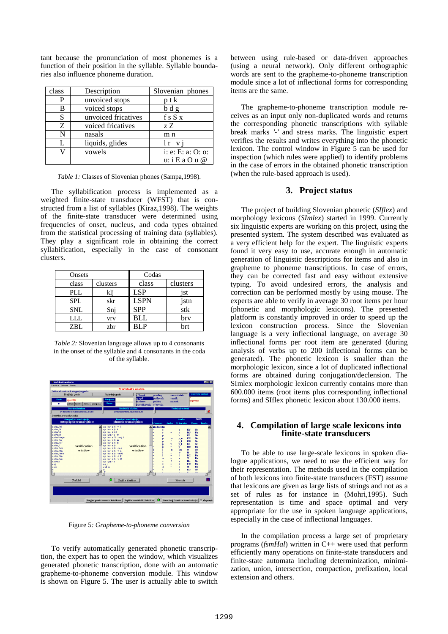tant because the pronunciation of most phonemes is a function of their position in the syllable. Syllable boundaries also influence phoneme duration.

| class | Description         | Slovenian phones    |
|-------|---------------------|---------------------|
| P     | unvoiced stops      | ptk                 |
| B     | voiced stops        | bdg                 |
| S     | unvoiced fricatives | fsSx                |
| Z     | voiced fricatives   | ZZ                  |
| N     | nasals              | m n                 |
| L     | liquids, glides     | lr vi               |
|       | vowels              | i: e: E: a: $O:$ o: |
|       |                     | u: i E a O u @      |

*Table 1:* Classes of Slovenian phones (Sampa,1998).

The syllabification process is implemented as a weighted finite-state transducer (WFST) that is constructed from a list of syllables (Kiraz,1998). The weights of the finite-state transducer were determined using frequencies of onset, nucleus, and coda types obtained from the statistical processing of training data (syllables). They play a significant role in obtaining the correct syllabification, especially in the case of consonant clusters.

| Onsets     |                       | Codas       |          |
|------------|-----------------------|-------------|----------|
| class      | clusters              | class       | clusters |
| PLL        | klj                   | <b>LSP</b>  | 1St      |
| <b>SPL</b> | skr                   | <b>LSPN</b> | istn     |
| <b>SNL</b> | Snj                   | <b>SPP</b>  | stk      |
| LLL.       | <b>V<sub>IV</sub></b> | <b>BLL</b>  | brv      |
| ZBL        | zbr                   | <b>BLP</b>  | hrt      |

*Table 2:* Slovenian language allows up to 4 consonants in the onset of the syllable and 4 consonants in the coda of the syllable.



Figure 5*: Grapheme-to-phoneme conversion*

To verify automatically generated phonetic transcription, the expert has to open the window, which visualizes generated phonetic transcription, done with an automatic grapheme-to-phoneme conversion module. This window is shown on Figure 5. The user is actually able to switch

between using rule-based or data-driven approaches (using a neural network). Only different orthographic words are sent to the grapheme-to-phoneme transcription module since a lot of inflectional forms for corresponding items are the same.

The grapheme-to-phoneme transcription module receives as an input only non-duplicated words and returns the corresponding phonetic transcriptions with syllable break marks '-' and stress marks. The linguistic expert verifies the results and writes everything into the phonetic lexicon. The control window in Figure 5 can be used for inspection (which rules were applied) to identify problems in the case of errors in the obtained phonetic transcription (when the rule-based approach is used).

# **3. Project status**

The project of building Slovenian phonetic (*SIflex*) and morphology lexicons (*SImlex*) started in 1999. Currently six linguistic experts are working on this project, using the presented system. The system described was evaluated as a very efficient help for the expert. The linguistic experts found it very easy to use, accurate enough in automatic generation of linguistic descriptions for items and also in grapheme to phoneme transcriptions. In case of errors, they can be corrected fast and easy without extensive typing. To avoid undesired errors, the analysis and correction can be performed mostly by using mouse. The experts are able to verify in average 30 root items per hour (phonetic and morphologic lexicons). The presented platform is constantly improved in order to speed up the lexicon construction process. Since the Slovenian language is a very inflectional language, on average 30 inflectional forms per root item are generated (during analysis of verbs up to 200 inflectional forms can be generated). The phonetic lexicon is smaller than the morphologic lexicon, since a lot of duplicated inflectional forms are obtained during conjugation/declension. The SImlex morphologic lexicon currently contains more than 600.000 items (root items plus corresponding inflectional forms) and SIflex phonetic lexicon about 130.000 items.

### **4. Compilation of large scale lexicons into finite-state transducers**

To be able to use large-scale lexicons in spoken dialogue applications, we need to use the efficient way for their representation. The methods used in the compilation of both lexicons into finite-state transducers (FST) assume that lexicons are given as large lists of strings and not as a set of rules as for instance in (Mohri,1995). Such representation is time and space optimal and very appropriate for the use in spoken language applications, especially in the case of inflectional languages.

In the compilation process a large set of proprietary programs (*fsmHal*) written in C++ were used that perform efficiently many operations on finite-state transducers and finite-state automata including determinization, minimization, union, intersection, compaction, prefixation, local extension and others.